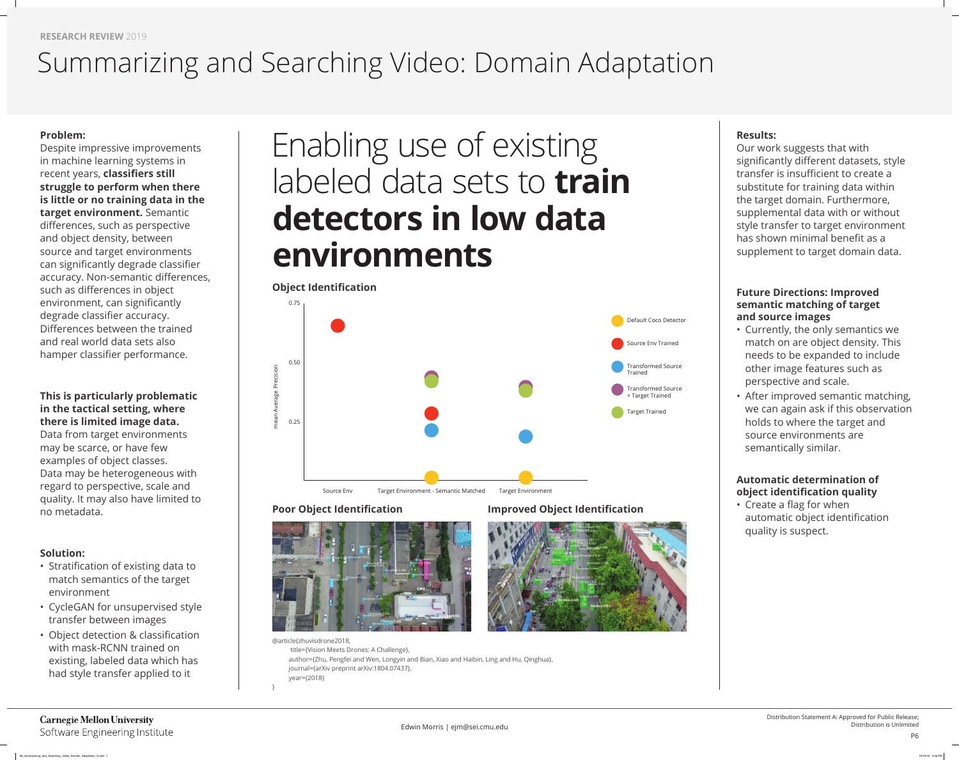**RESEARCH REVIEW** 2019

Despite impressive improvements in machine learning systems in recent years, **classifiers still struggle to perform when there is little or no training data in the target environment.** Semantic differences, such as perspective and object density, between source and target environments can significantly degrade classifier accuracy. Non-semantic differences, such as differences in object environment, can significantly degrade classifier accuracy. Differences between the trained and real world data sets also hamper classifier performance.

#### **Problem:**

- Stratification of existing data to match semantics of the target environment
- CycleGAN for unsupervised style transfer between images
- Object detection & classification with mask-RCNN trained on existing, labeled data which has had style transfer applied to it

#### **This is particularly problematic in the tactical setting, where there is limited image data.**

Data from target environments may be scarce, or have few examples of object classes. Data may be heterogeneous with regard to perspective, scale and quality. It may also have limited to no metadata.

#### **Solution:**

#### **Automatic determination of object identification quality**

• Create a flag for when automatic object identification quality is suspect.

## Summarizing and Searching Video: Domain Adaptation

## **Results:**

Our work suggests that with significantly different datasets, style transfer is insufficient to create a substitute for training data within the target domain. Furthermore, supplemental data with or without style transfer to target environment has shown minimal benefit as a supplement to target domain data.

## **Future Directions: Improved semantic matching of target and source images**

- Currently, the only semantics we match on are object density. This needs to be expanded to include other image features such as perspective and scale.
- After improved semantic matching, we can again ask if this observation holds to where the target and source environments are semantically similar.



# Enabling use of existing labeled data sets to **train detectors in low data environments**

@article{zhuvisdrone2018, title={Vision Meets Drones: A Challenge}, author={Zhu, Pengfei and Wen, Longyin and Bian, Xiao and Haibin, Ling and Hu, Qinghua}, journal={arXiv preprint arXiv:1804.07437}, year={2018}

#### **Carnegie Mellon University** Software Engineering Institute

}



Source Env Target Environment - Semantic Matched Target Environmen